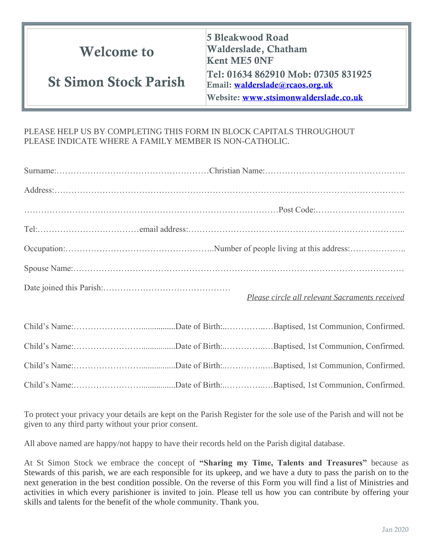| <b>Welcome to</b>            | 5 Bleakwood Road<br>Walderslade, Chatham<br><b>Kent ME5 0NF</b>                                                 |  |
|------------------------------|-----------------------------------------------------------------------------------------------------------------|--|
| <b>St Simon Stock Parish</b> | Tel: 01634 862910 Mob: 07305 831925<br>Email: walderslade@rcaos.org.uk<br>Website: www.stsimonwalderslade.co.uk |  |

## PLEASE HELP US BY COMPLETING THIS FORM IN BLOCK CAPITALS THROUGHOUT PLEASE INDICATE WHERE A FAMILY MEMBER IS NON-CATHOLIC.

| Please circle all relevant Sacraments received |
|------------------------------------------------|
|                                                |
|                                                |
|                                                |

Child's Name:……………………................Date of Birth:..…………..…Baptised, 1st Communion, Confirmed.

To protect your privacy your details are kept on the Parish Register for the sole use of the Parish and will not be given to any third party without your prior consent.

All above named are happy/not happy to have their records held on the Parish digital database.

At St Simon Stock we embrace the concept of **"Sharing my Time, Talents and Treasures"** because as Stewards of this parish, we are each responsible for its upkeep, and we have a duty to pass the parish on to the next generation in the best condition possible. On the reverse of this Form you will find a list of Ministries and activities in which every parishioner is invited to join. Please tell us how you can contribute by offering your skills and talents for the benefit of the whole community. Thank you.